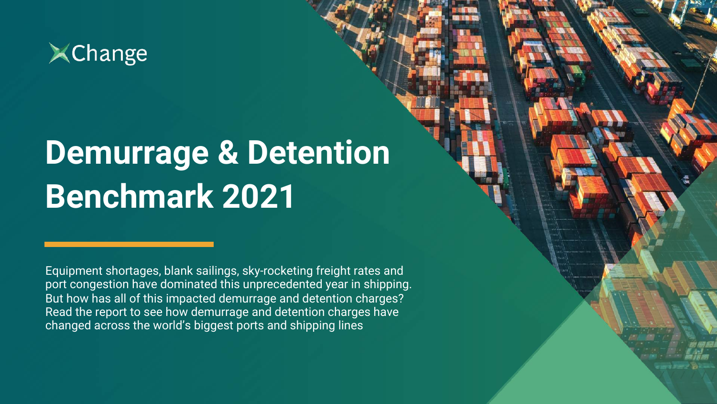

# **Demurrage & Detention Benchmark 2021**

Equipment shortages, blank sailings, sky-rocketing freight rates and port congestion have dominated this unprecedented year in shipping. But how has all of this impacted demurrage and detention charges? Read the report to see how demurrage and detention charges have changed across the world's biggest ports and shipping lines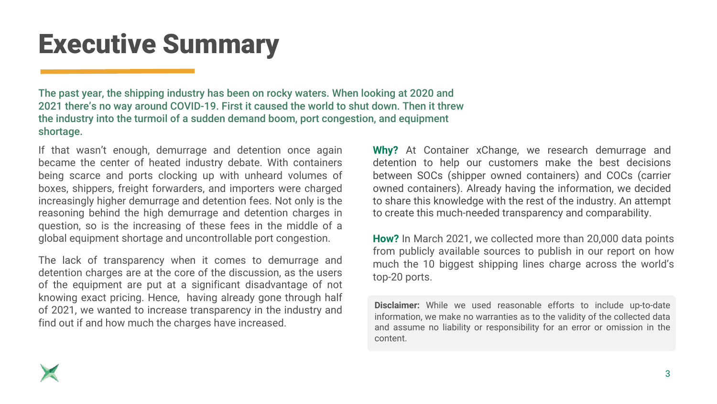# Executive Summary

The past year, the shipping industry has been on rocky waters. When looking at 2020 and 2021 there's no way around COVID-19. First it caused the world to shut down. Then it threw the industry into the turmoil of a sudden demand boom, port congestion, and equipment shortage.

If that wasn't enough, demurrage and detention once again became the center of heated industry debate. With containers being scarce and ports clocking up with unheard volumes of boxes, shippers, freight forwarders, and importers were charged increasingly higher demurrage and detention fees. Not only is the reasoning behind the high demurrage and detention charges in question, so is the increasing of these fees in the middle of a global equipment shortage and uncontrollable port congestion.

The lack of transparency when it comes to demurrage and detention charges are at the core of the discussion, as the users of the equipment are put at a significant disadvantage of not knowing exact pricing. Hence, having already gone through half of 2021, we wanted to increase transparency in the industry and find out if and how much the charges have increased.

**Why?** At Container xChange, we research demurrage and detention to help our customers make the best decisions between SOCs (shipper owned containers) and COCs (carrier owned containers). Already having the information, we decided to share this knowledge with the rest of the industry. An attempt to create this much-needed transparency and comparability.

**How?** In March 2021, we collected more than 20,000 data points from publicly available sources to publish in our report on how much the 10 biggest shipping lines charge across the world's top-20 ports.

**Disclaimer:** While we used reasonable efforts to include up-to-date information, we make no warranties as to the validity of the collected data and assume no liability or responsibility for an error or omission in the content.

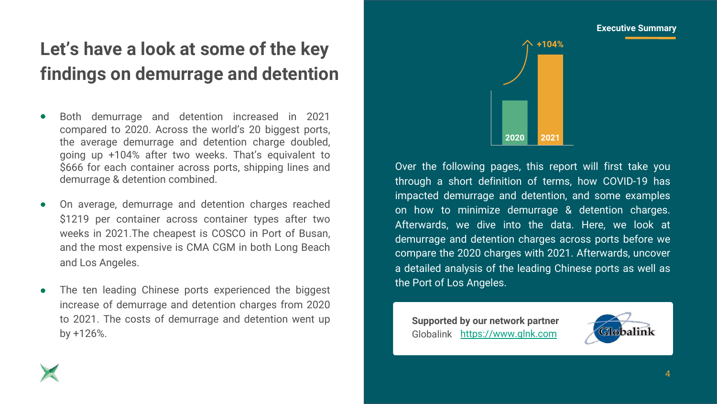# **Let's have a look at some of the key findings on demurrage and detention**

- Both demurrage and detention increased in 2021 compared to 2020. Across the world's 20 biggest ports, the average demurrage and detention charge doubled, going up +104% after two weeks. That's equivalent to \$666 for each container across ports, shipping lines and demurrage & detention combined.
- On average, demurrage and detention charges reached \$1219 per container across container types after two weeks in 2021.The cheapest is COSCO in Port of Busan, and the most expensive is CMA CGM in both Long Beach and Los Angeles.
- The ten leading Chinese ports experienced the biggest increase of demurrage and detention charges from 2020 to 2021. The costs of demurrage and detention went up by +126%.



Over the following pages, this report will first take you through a short definition of terms, how COVID-19 has impacted demurrage and detention, and some examples on how to minimize demurrage & detention charges. Afterwards, we dive into the data. Here, we look at demurrage and detention charges across ports before we compare the 2020 charges with 2021. Afterwards, uncover a detailed analysis of the leading Chinese ports as well as the Port of Los Angeles.

**Supported by our network partner**  Globalink https://www.glnk.com

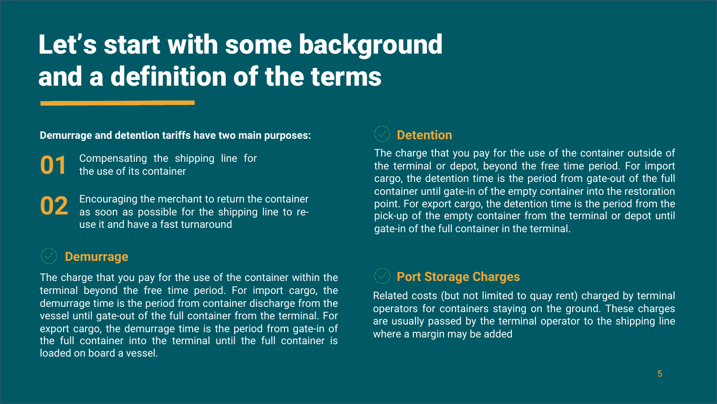# Let's start with some background and a definition of the terms

**Demurrage and detention tariffs have two main purposes:**

Compensating the shipping line for the use of its container

Encouraging the merchant to return the container as soon as possible for the shipping line to reuse it and have a fast turnaround **02**

## **Demurrage**

The charge that you pay for the use of the container within the terminal beyond the free time period. For import cargo, the demurrage time is the period from container discharge from the vessel until gate-out of the full container from the terminal. For export cargo, the demurrage time is the period from gate-in of the full container into the terminal until the full container is loaded on board a vessel.



The charge that you pay for the use of the container outside of the terminal or depot, beyond the free time period. For import cargo, the detention time is the period from gate-out of the full container until gate-in of the empty container into the restoration point. For export cargo, the detention time is the period from the pick-up of the empty container from the terminal or depot until gate-in of the full container in the terminal.

## **Port Storage Charges**

Related costs (but not limited to quay rent) charged by terminal operators for containers staying on the ground. These charges are usually passed by the terminal operator to the shipping line where a margin may be added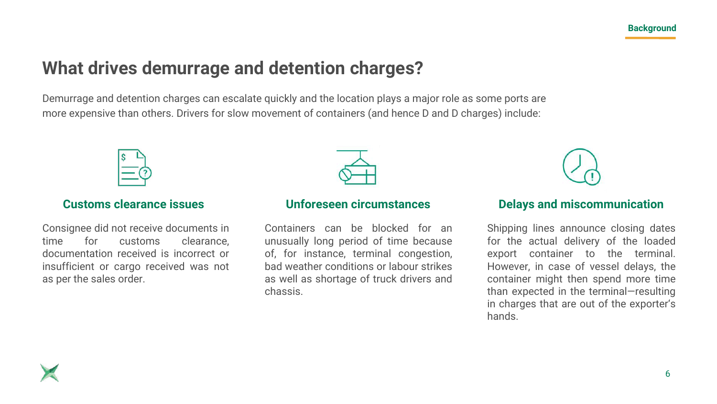# **What drives demurrage and detention charges?**

Demurrage and detention charges can escalate quickly and the location plays a major role as some ports are more expensive than others. Drivers for slow movement of containers (and hence D and D charges) include:



## **Customs clearance issues**

Consignee did not receive documents in time for customs clearance, documentation received is incorrect or insufficient or cargo received was not as per the sales order.



## **Unforeseen circumstances**

Containers can be blocked for an unusually long period of time because of, for instance, terminal congestion, bad weather conditions or labour strikes as well as shortage of truck drivers and chassis.

### **Delays and miscommunication**

Shipping lines announce closing dates for the actual delivery of the loaded export container to the terminal. However, in case of vessel delays, the container might then spend more time than expected in the terminal—resulting in charges that are out of the exporter's hands.

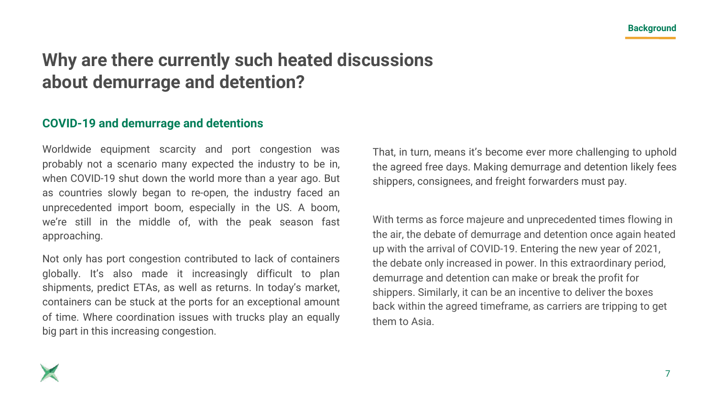# **Why are there currently such heated discussions about demurrage and detention?**

## **COVID-19 and demurrage and detentions**

Worldwide equipment scarcity and port congestion was probably not a scenario many expected the industry to be in, when COVID-19 shut down the world more than a year ago. But as countries slowly began to re-open, the industry faced an unprecedented import boom, especially in the US. A boom, we're still in the middle of, with the peak season fast approaching.

Not only has port congestion contributed to lack of containers globally. It's also made it increasingly difficult to plan shipments, predict ETAs, as well as returns. In today's market, containers can be stuck at the ports for an exceptional amount of time. Where coordination issues with trucks play an equally big part in this increasing congestion.

That, in turn, means it's become ever more challenging to uphold the agreed free days. Making demurrage and detention likely fees shippers, consignees, and freight forwarders must pay.

With terms as force majeure and unprecedented times flowing in the air, the debate of demurrage and detention once again heated up with the arrival of COVID-19. Entering the new year of 2021, the debate only increased in power. In this extraordinary period, demurrage and detention can make or break the profit for shippers. Similarly, it can be an incentive to deliver the boxes back within the agreed timeframe, as carriers are tripping to get them to Asia.

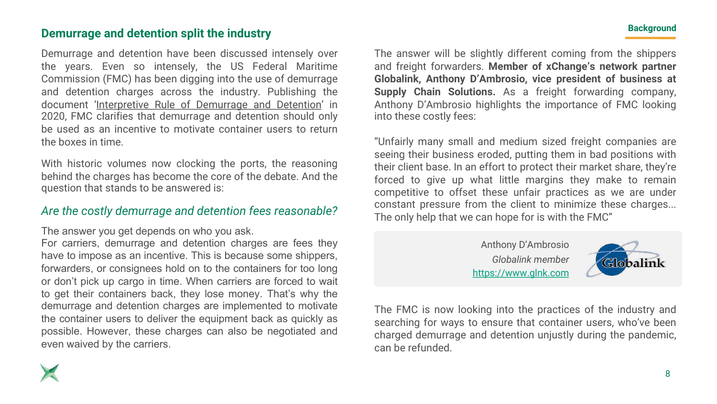## **Demurrage and detention split the industry**

Demurrage and detention have been discussed intensely over the years. Even so intensely, the US Federal Maritime Commission (FMC) has been digging into the use of demurrage and detention charges across the industry. Publishing the document '[Interpretive](https://www.federalregister.gov/documents/2020/05/18/2020-09370/interpretive-rule-on-demurrage-and-detention-under-the-shipping-act) Rule of Demurrage and Detention' in 2020, FMC clarifies that demurrage and detention should only be used as an incentive to motivate container users to return the boxes in time.

With historic volumes now clocking the ports, the reasoning behind the charges has become the core of the debate. And the question that stands to be answered is:

## *Are the costly demurrage and detention fees reasonable?*

The answer you get depends on who you ask.

For carriers, demurrage and detention charges are fees they have to impose as an incentive. This is because some shippers, forwarders, or consignees hold on to the containers for too long or don't pick up cargo in time. When carriers are forced to wait to get their containers back, they lose money. That's why the demurrage and detention charges are implemented to motivate the container users to deliver the equipment back as quickly as possible. However, these charges can also be negotiated and even waived by the carriers.

The answer will be slightly different coming from the shippers and freight forwarders. **Member of xChange's network partner Globalink, Anthony D'Ambrosio, vice president of business at Supply Chain Solutions.** As a freight forwarding company, Anthony D'Ambrosio highlights the importance of FMC looking into these costly fees:

"Unfairly many small and medium sized freight companies are seeing their business eroded, putting them in bad positions with their client base. In an effort to protect their market share, they're forced to give up what little margins they make to remain competitive to offset these unfair practices as we are under constant pressure from the client to minimize these charges... The only help that we can hope for is with the FMC"

> Anthony D'Ambrosio *Globalink member* https://www.glnk.com



The FMC is now looking into the practices of the industry and searching for ways to ensure that container users, who've been charged demurrage and detention unjustly during the pandemic, can be refunded.

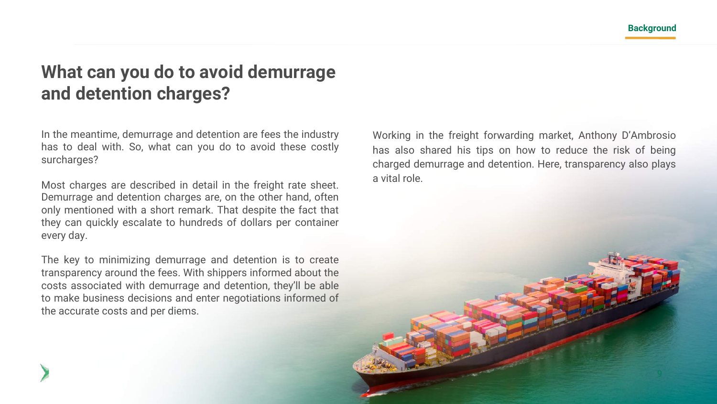# **What can you do to avoid demurrage and detention charges?**

In the meantime, demurrage and detention are fees the industry has to deal with. So, what can you do to avoid these costly surcharges?

Most charges are described in detail in the freight rate sheet. Demurrage and detention charges are, on the other hand, often only mentioned with a short remark. That despite the fact that they can quickly escalate to hundreds of dollars per container every day.

The key to minimizing demurrage and detention is to create transparency around the fees. With shippers informed about the costs associated with demurrage and detention, they'll be able to make business decisions and enter negotiations informed of the accurate costs and per diems.

Working in the freight forwarding market, Anthony D'Ambrosio has also shared his tips on how to reduce the risk of being charged demurrage and detention. Here, transparency also plays a vital role.

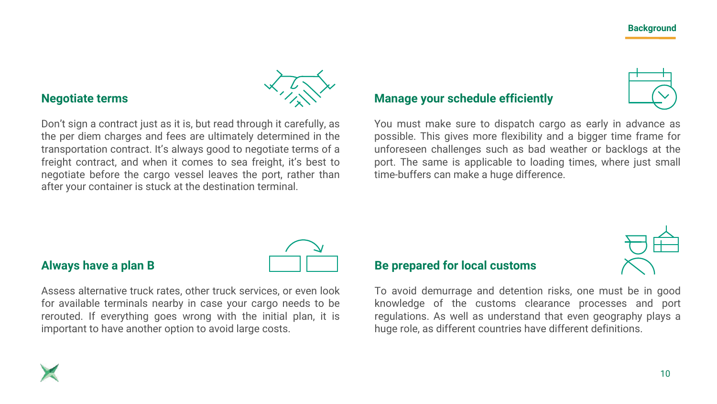

## **Negotiate terms**

Don't sign a contract just as it is, but read through it carefully, as the per diem charges and fees are ultimately determined in the transportation contract. It's always good to negotiate terms of a freight contract, and when it comes to sea freight, it's best to negotiate before the cargo vessel leaves the port, rather than after your container is stuck at the destination terminal.

### **Manage your schedule efficiently**

You must make sure to dispatch cargo as early in advance as possible. This gives more flexibility and a bigger time frame for unforeseen challenges such as bad weather or backlogs at the port. The same is applicable to loading times, where just small time-buffers can make a huge difference.



## **Always have a plan B**

Assess alternative truck rates, other truck services, or even look for available terminals nearby in case your cargo needs to be rerouted. If everything goes wrong with the initial plan, it is important to have another option to avoid large costs.

### **Be prepared for local customs**

To avoid demurrage and detention risks, one must be in good knowledge of the customs clearance processes and port regulations. As well as understand that even geography plays a huge role, as different countries have different definitions.

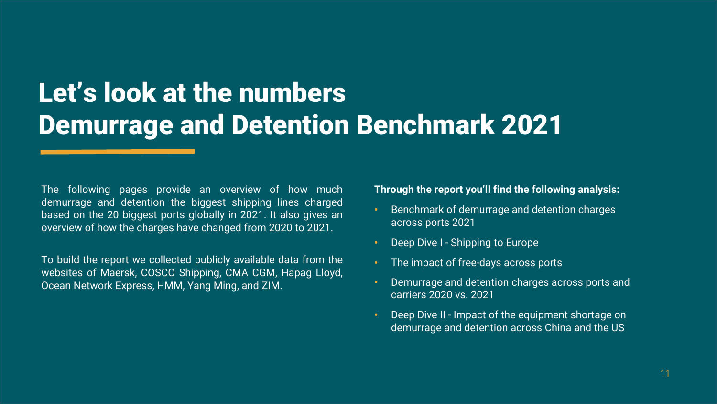# Let's look at the numbers Demurrage and Detention Benchmark 2021

The following pages provide an overview of how much demurrage and detention the biggest shipping lines charged based on the 20 biggest ports globally in 2021. It also gives an overview of how the charges have changed from 2020 to 2021.

To build the report we collected publicly available data from the websites of Maersk, COSCO Shipping, CMA CGM, Hapag Lloyd, Ocean Network Express, HMM, Yang Ming, and ZIM.

**Through the report you'll find the following analysis:**

- Benchmark of demurrage and detention charges across ports 2021
- Deep Dive I Shipping to Europe
- The impact of free-days across ports
- Demurrage and detention charges across ports and carriers 2020 vs. 2021
- Deep Dive II Impact of the equipment shortage on demurrage and detention across China and the US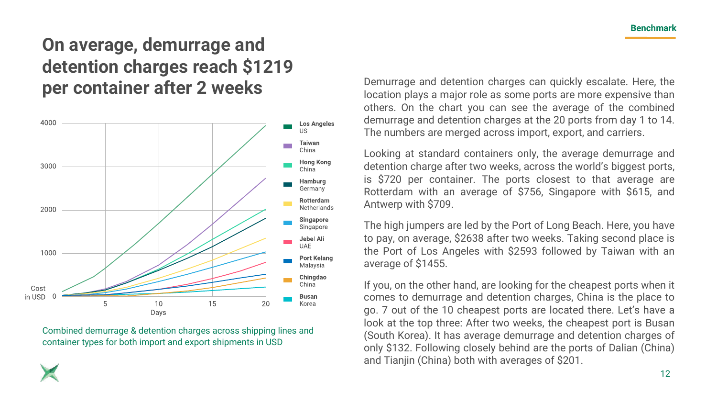# **On average, demurrage and detention charges reach \$1219**



Combined demurrage & detention charges across shipping lines and container types for both import and export shipments in USD

**per container after 2 weeks** Demurrage and detention charges can quickly escalate. Here, the location plays a major role as some ports are more expensive than others. On the chart you can see the average of the combined demurrage and detention charges at the 20 ports from day 1 to 14. The numbers are merged across import, export, and carriers.

> Looking at standard containers only, the average demurrage and detention charge after two weeks, across the world's biggest ports, is \$720 per container. The ports closest to that average are Rotterdam with an average of \$756, Singapore with \$615, and Antwerp with \$709.

> The high jumpers are led by the Port of Long Beach. Here, you have to pay, on average, \$2638 after two weeks. Taking second place is the Port of Los Angeles with \$2593 followed by Taiwan with an average of \$1455.

> If you, on the other hand, are looking for the cheapest ports when it comes to demurrage and detention charges, China is the place to go. 7 out of the 10 cheapest ports are located there. Let's have a look at the top three: After two weeks, the cheapest port is Busan (South Korea). It has average demurrage and detention charges of only \$132. Following closely behind are the ports of Dalian (China) and Tianjin (China) both with averages of \$201.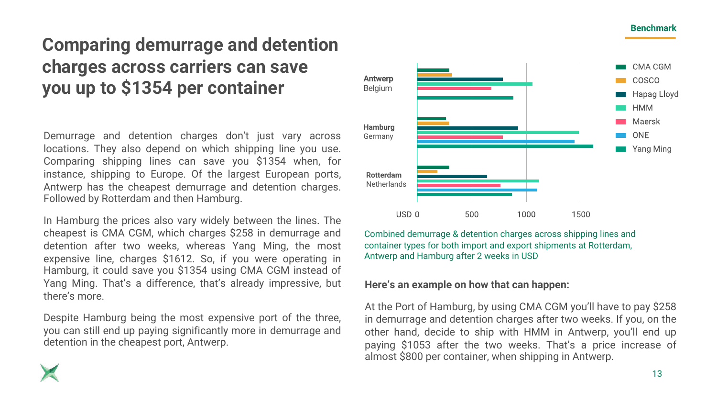# **Comparing demurrage and detention charges across carriers can save you up to \$1354 per container**

Demurrage and detention charges don't just vary across locations. They also depend on which shipping line you use. Comparing shipping lines can save you \$1354 when, for instance, shipping to Europe. Of the largest European ports, Antwerp has the cheapest demurrage and detention charges. Followed by Rotterdam and then Hamburg.

In Hamburg the prices also vary widely between the lines. The cheapest is CMA CGM, which charges \$258 in demurrage and detention after two weeks, whereas Yang Ming, the most expensive line, charges \$1612. So, if you were operating in Hamburg, it could save you \$1354 using CMA CGM instead of Yang Ming. That's a difference, that's already impressive, but there's more.

Despite Hamburg being the most expensive port of the three, you can still end up paying significantly more in demurrage and detention in the cheapest port, Antwerp.



Combined demurrage & detention charges across shipping lines and container types for both import and export shipments at Rotterdam, Antwerp and Hamburg after 2 weeks in USD

### **Here's an example on how that can happen:**

At the Port of Hamburg, by using CMA CGM you'll have to pay \$258 in demurrage and detention charges after two weeks. If you, on the other hand, decide to ship with HMM in Antwerp, you'll end up paying \$1053 after the two weeks. That's a price increase of almost \$800 per container, when shipping in Antwerp.

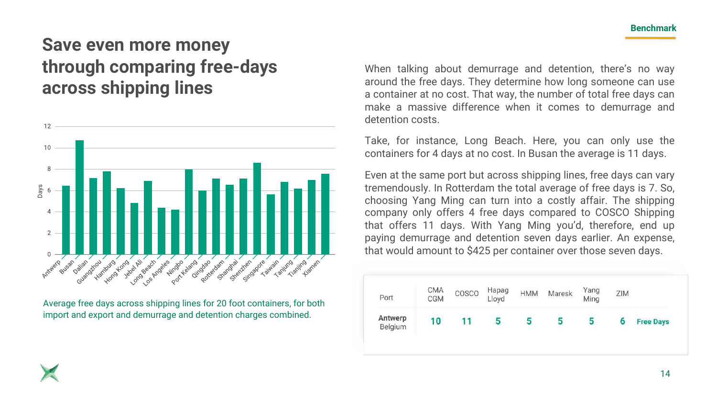# **Save even more money through comparing free-days across shipping lines**



Average free days across shipping lines for 20 foot containers, for both import and export and demurrage and detention charges combined.

When talking about demurrage and detention, there's no way around the free days. They determine how long someone can use a container at no cost. That way, the number of total free days can make a massive difference when it comes to demurrage and detention costs.

Take, for instance, Long Beach. Here, you can only use the containers for 4 days at no cost. In Busan the average is 11 days.

Even at the same port but across shipping lines, free days can vary tremendously. In Rotterdam the total average of free days is 7. So, choosing Yang Ming can turn into a costly affair. The shipping company only offers 4 free days compared to COSCO Shipping that offers 11 days. With Yang Ming you'd, therefore, end up paying demurrage and detention seven days earlier. An expense, that would amount to \$425 per container over those seven days.

| Port               | CMA<br>CGM | COSCO | Hapag<br>Lloyd | <b>HMM</b> | Maresk | Yang<br>Ming | ZIM |                  |
|--------------------|------------|-------|----------------|------------|--------|--------------|-----|------------------|
| Antwerp<br>Belgium | 10         |       | G              | э          | э      | ь            | o   | <b>Free Days</b> |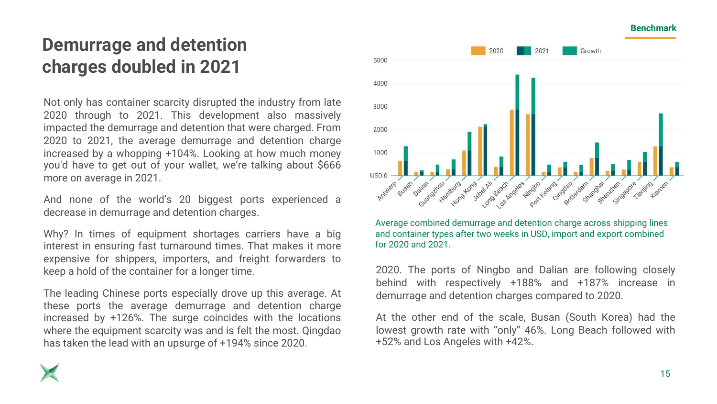# **Demurrage and detention charges doubled in 2021**

Not only has container scarcity disrupted the industry from late 2020 through to 2021. This development also massively impacted the demurrage and detention that were charged. From 2020 to 2021, the average demurrage and detention charge increased by a whopping +104%. Looking at how much money you'd have to get out of your wallet, we're talking about \$666 more on average in 2021.

And none of the world's 20 biggest ports experienced a decrease in demurrage and detention charges.

Why? In times of equipment shortages carriers have a big interest in ensuring fast turnaround times. That makes it more expensive for shippers, importers, and freight forwarders to keep a hold of the container for a longer time.

The leading Chinese ports especially drove up this average. At these ports the average demurrage and detention charge increased by +126%. The surge coincides with the locations where the equipment scarcity was and is felt the most. Qingdao has taken the lead with an upsurge of +194% since 2020.



Average combined demurrage and detention charge across shipping lines and container types after two weeks in USD, import and export combined for 2020 and 2021.

2020. The ports of Ningbo and Dalian are following closely behind with respectively +188% and +187% increase in demurrage and detention charges compared to 2020.

At the other end of the scale, Busan (South Korea) had the lowest growth rate with "only" 46%. Long Beach followed with +52% and Los Angeles with +42%.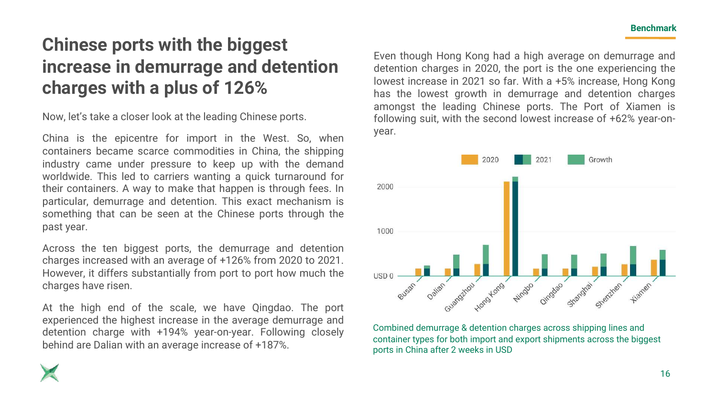# **Chinese ports with the biggest increase in demurrage and detention charges with a plus of 126%**

Now, let's take a closer look at the leading Chinese ports.

China is the epicentre for import in the West. So, when containers became scarce commodities in China, the shipping industry came under pressure to keep up with the demand worldwide. This led to carriers wanting a quick turnaround for their containers. A way to make that happen is through fees. In particular, demurrage and detention. This exact mechanism is something that can be seen at the Chinese ports through the past year.

Across the ten biggest ports, the demurrage and detention charges increased with an average of +126% from 2020 to 2021. However, it differs substantially from port to port how much the charges have risen.

At the high end of the scale, we have Qingdao. The port experienced the highest increase in the average demurrage and detention charge with +194% year-on-year. Following closely behind are Dalian with an average increase of +187%.

Even though Hong Kong had a high average on demurrage and detention charges in 2020, the port is the one experiencing the lowest increase in 2021 so far. With a +5% increase, Hong Kong has the lowest growth in demurrage and detention charges amongst the leading Chinese ports. The Port of Xiamen is following suit, with the second lowest increase of +62% year-onyear.



Combined demurrage & detention charges across shipping lines and container types for both import and export shipments across the biggest ports in China after 2 weeks in USD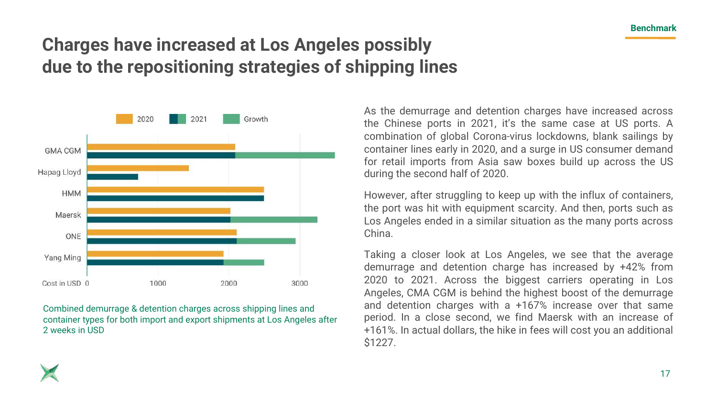# **Charges have increased at Los Angeles possibly due to the repositioning strategies of shipping lines**



Combined demurrage & detention charges across shipping lines and container types for both import and export shipments at Los Angeles after 2 weeks in USD

As the demurrage and detention charges have increased across the Chinese ports in 2021, it's the same case at US ports. A combination of global Corona-virus lockdowns, blank sailings by container lines early in 2020, and a surge in US consumer demand for retail imports from Asia saw boxes build up across the US during the second half of 2020.

However, after struggling to keep up with the influx of containers, the port was hit with equipment scarcity. And then, ports such as Los Angeles ended in a similar situation as the many ports across China.

Taking a closer look at Los Angeles, we see that the average demurrage and detention charge has increased by +42% from 2020 to 2021. Across the biggest carriers operating in Los Angeles, CMA CGM is behind the highest boost of the demurrage and detention charges with a +167% increase over that same period. In a close second, we find Maersk with an increase of +161%. In actual dollars, the hike in fees will cost you an additional \$1227.

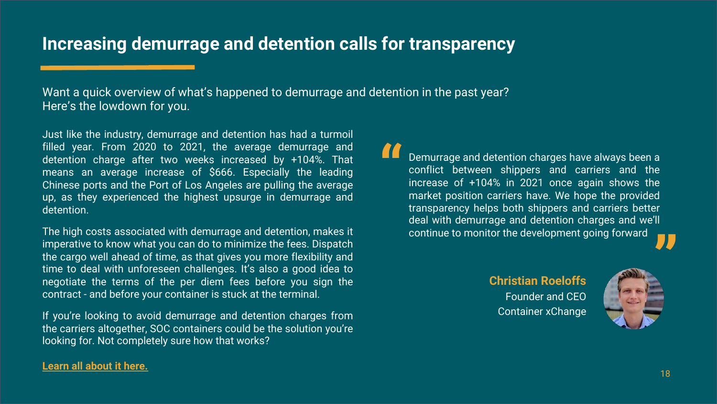## **Increasing demurrage and detention calls for transparency**

Want a quick overview of what's happened to demurrage and detention in the past year? Here's the lowdown for you.

Just like the industry, demurrage and detention has had a turmoil filled year. From 2020 to 2021, the average demurrage and detention charge after two weeks increased by +104%. That means an average increase of \$666. Especially the leading Chinese ports and the Port of Los Angeles are pulling the average up, as they experienced the highest upsurge in demurrage and detention.

The high costs associated with demurrage and detention, makes it imperative to know what you can do to minimize the fees. Dispatch the cargo well ahead of time, as that gives you more flexibility and time to deal with unforeseen challenges. It's also a good idea to negotiate the terms of the per diem fees before you sign the contract - and before your container is stuck at the terminal.

If you're looking to avoid demurrage and detention charges from the carriers altogether, SOC containers could be the solution you're looking for. Not completely sure how that works?

### Demurrage and detention charges have always been a conflict between shippers and carriers and the increase of +104% in 2021 once again shows the market position carriers have. We hope the provided transparency helps both shippers and carriers better deal with demurrage and detention charges and we'll continue to monitor the development going forward **"**

**Christian Roeloffs**  Founder and CEO Container xChange



### **Learn all [about](https://container-xchange.com/avoid-demurrage-and-detention/) it here.**